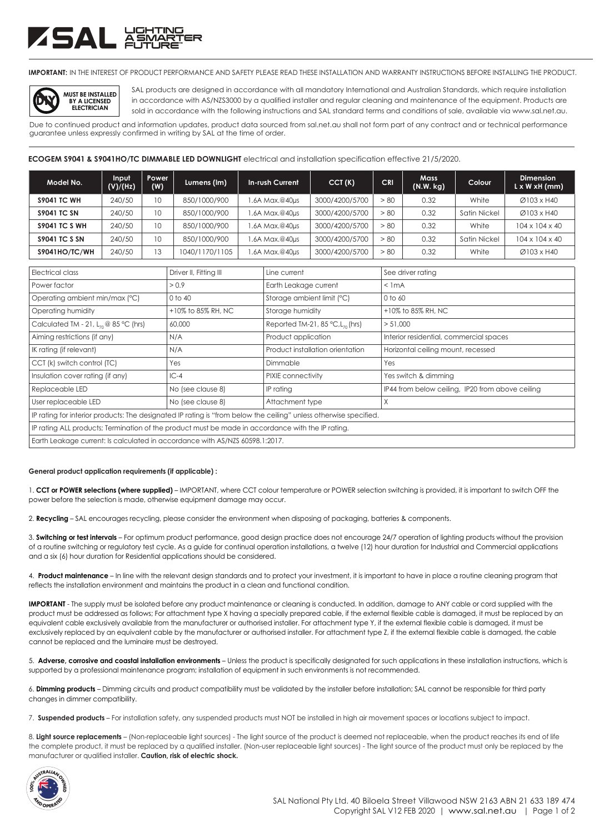## ZSAL ÄŠ

**IMPORTANT:** IN THE INTEREST OF PRODUCT PERFORMANCE AND SAFETY PLEASE READ THESE INSTALLATION AND WARRANTY INSTRUCTIONS BEFORE INSTALLING THE PRODUCT.



SAL products are designed in accordance with all mandatory International and Australian Standards, which require installation in accordance with AS/NZS3000 by a qualified installer and regular cleaning and maintenance of the equipment. Products are sold in accordance with the following instructions and SAL standard terms and conditions of sale, available via www.sal.net.au.

Due to continued product and information updates, product data sourced from sal.net.au shall not form part of any contract and or technical performance guarantee unless expressly confirmed in writing by SAL at the time of order.

**ECOGEM S9041 & S9041HO/TC DIMMABLE LED DOWNLIGHT** electrical and installation specification effective 21/5/2020.

| Model No.            | Input<br>(V)/(Hz) | <b>Power</b><br>(W) | Lumens (Im)    | In-rush Current | CCT(K)         | <b>CRI</b> | <b>Mass</b><br>(N.W. kg) | Colour       | <b>Dimension</b><br>$L \times W \times H$ (mm) |
|----------------------|-------------------|---------------------|----------------|-----------------|----------------|------------|--------------------------|--------------|------------------------------------------------|
| <b>S9041 TC WH</b>   | 240/50            | 10                  | 850/1000/900   | .6A Max.@40µs   | 3000/4200/5700 | > 80       | 0.32                     | White        | Ø103 x H40                                     |
| <b>S9041 TC SN</b>   | 240/50            | 10                  | 850/1000/900   | .6A Max.@40µs   | 3000/4200/5700 | > 80       | 0.32                     | Satin Nickel | Ø103 x H40                                     |
| <b>S9041 TC S WH</b> | 240/50            | 10                  | 850/1000/900   | .6A Max.@40µs   | 3000/4200/5700 | > 80       | 0.32                     | White        | $104 \times 104 \times 40$                     |
| <b>S9041 TC S SN</b> | 240/50            | 10                  | 850/1000/900   | .6A Max.@40µs   | 3000/4200/5700 | > 80       | 0.32                     | Satin Nickel | $104 \times 104 \times 40$                     |
| <b>S9041HO/TC/WH</b> | 240/50            | 13                  | 1040/1170/1105 | .6A Max.@40µs   | 3000/4200/5700 | > 80       | 0.32                     | White        | Ø103 x H40                                     |

| Electrical class                                                                                                  | Driver II, Fitting III | Line current                                    | See driver rating                                |  |  |  |  |
|-------------------------------------------------------------------------------------------------------------------|------------------------|-------------------------------------------------|--------------------------------------------------|--|--|--|--|
| Power factor                                                                                                      | > 0.9                  | Earth Leakage current                           | $<$ 1 mA                                         |  |  |  |  |
| Operating ambient min/max (°C)                                                                                    | $0$ to $40$            | Storage ambient limit (°C)                      | 0 to 60                                          |  |  |  |  |
| Operating humidity                                                                                                | +10% to 85% RH, NC     | Storage humidity                                | +10% to 85% RH, NC                               |  |  |  |  |
| Calculated TM - 21, $L_{70}$ @ 85 °C (hrs)                                                                        | 60,000                 | Reported TM-21, 85 $°C$ , L <sub>70</sub> (hrs) | > 51,000                                         |  |  |  |  |
| Aiming restrictions (if any)                                                                                      | N/A                    | Product application                             | Interior residential, commercial spaces          |  |  |  |  |
| IK rating (if relevant)                                                                                           | N/A                    | Product installation orientation                | Horizontal ceiling mount, recessed               |  |  |  |  |
| CCT (k) switch control (TC)                                                                                       | Yes                    | Dimmable                                        | Yes                                              |  |  |  |  |
| Insulation cover rating (if any)                                                                                  | $IC-4$                 | PIXIE connectivity                              | Yes switch & dimming                             |  |  |  |  |
| Replaceable LED                                                                                                   | No (see clause 8)      | IP rating                                       | IP44 from below ceiling, IP20 from above ceiling |  |  |  |  |
| User replaceable LED                                                                                              | No (see clause 8)      | Attachment type                                 | X                                                |  |  |  |  |
| IP rating for interior products: The designated IP rating is "from below the ceiling" unless otherwise specified. |                        |                                                 |                                                  |  |  |  |  |
| IP rating ALL products; Termination of the product must be made in accordance with the IP rating.                 |                        |                                                 |                                                  |  |  |  |  |
| Earth Leakage current: Is calculated in accordance with AS/NZS 60598.1:2017.                                      |                        |                                                 |                                                  |  |  |  |  |

## **General product application requirements (if applicable) :**

1. **CCT or POWER selections (where supplied)** – IMPORTANT, where CCT colour temperature or POWER selection switching is provided, it is important to switch OFF the power before the selection is made, otherwise equipment damage may occur.

2. **Recycling** – SAL encourages recycling, please consider the environment when disposing of packaging, batteries & components.

3. **Switching or test intervals** – For optimum product performance, good design practice does not encourage 24/7 operation of lighting products without the provision of a routine switching or regulatory test cycle. As a guide for continual operation installations, a twelve (12) hour duration for Industrial and Commercial applications and a six (6) hour duration for Residential applications should be considered.

4. **Product maintenance** – In line with the relevant design standards and to protect your investment, it is important to have in place a routine cleaning program that reflects the installation environment and maintains the product in a clean and functional condition.

**IMPORTANT** - The supply must be isolated before any product maintenance or cleaning is conducted. In addition, damage to ANY cable or cord supplied with the product must be addressed as follows; For attachment type X having a specially prepared cable, if the external flexible cable is damaged, it must be replaced by an equivalent cable exclusively available from the manufacturer or authorised installer. For attachment type Y, if the external flexible cable is damaged, it must be exclusively replaced by an equivalent cable by the manufacturer or authorised installer. For attachment type Z, if the external flexible cable is damaged, the cable cannot be replaced and the luminaire must be destroyed.

5. **Adverse, corrosive and coastal installation environments** – Unless the product is specifically designated for such applications in these installation instructions, which is supported by a professional maintenance program; installation of equipment in such environments is not recommended.

6. **Dimming products** – Dimming circuits and product compatibility must be validated by the installer before installation; SAL cannot be responsible for third party changes in dimmer compatibility.

7. **Suspended products** – For installation safety, any suspended products must NOT be installed in high air movement spaces or locations subject to impact.

8. **Light source replacements** – (Non-replaceable light sources) - The light source of the product is deemed not replaceable, when the product reaches its end of life the complete product, it must be replaced by a qualified installer. (Non-user replaceable light sources) - The light source of the product must only be replaced by the manufacturer or qualified installer. **Caution, risk of electric shock.**